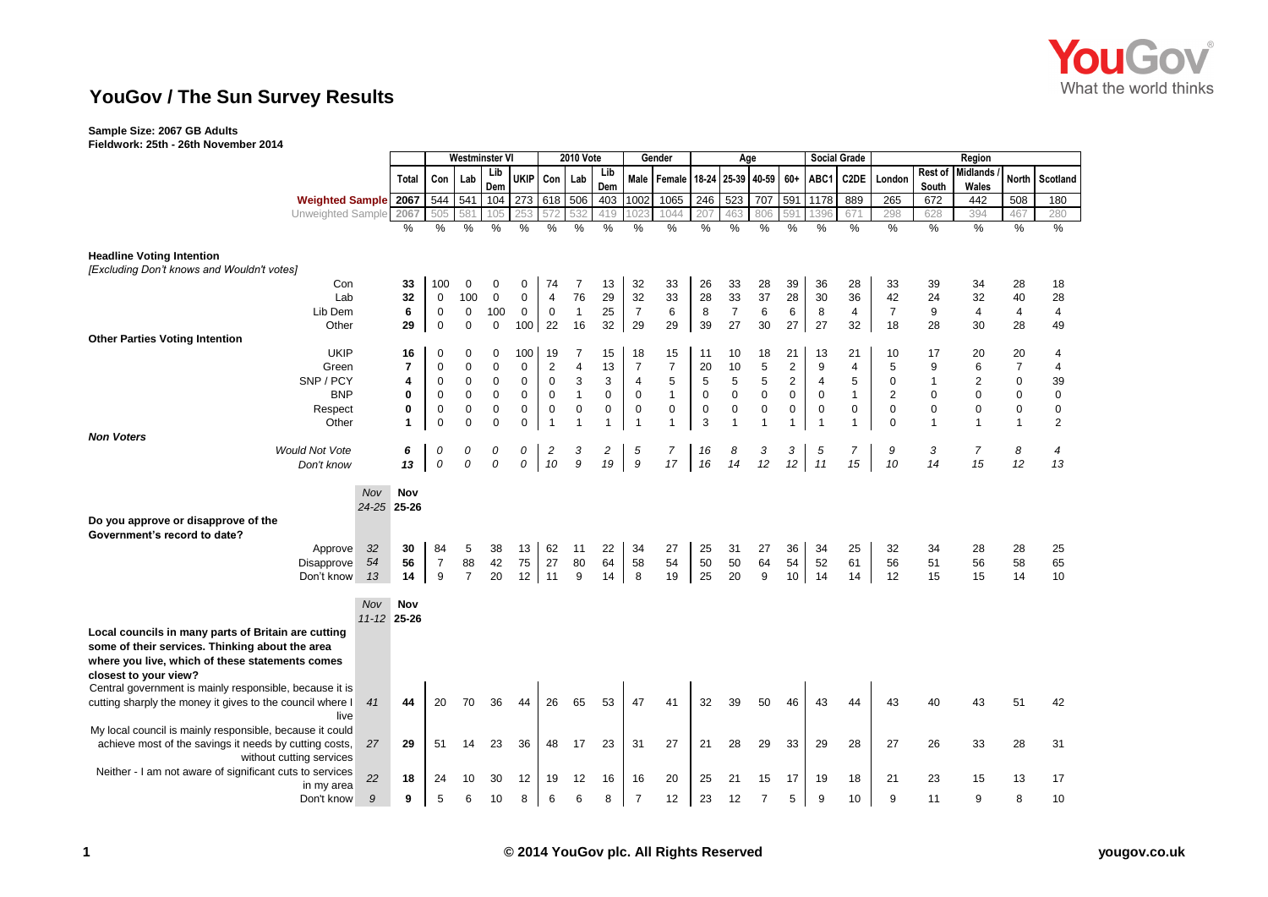

## **YouGov / The Sun Survey Results**

## **Sample Size: 2067 GB Adults**

**Fieldwork: 25th - 26th November 2014**

| $1$ ICIGN OTA: EQUIT EQUITING FOR THE RESIST              |             |                |                |                       |             |                     |                         |                  |     |                |                                       |             |                |                |                 |                |                     |                |              |                         |                |              |
|-----------------------------------------------------------|-------------|----------------|----------------|-----------------------|-------------|---------------------|-------------------------|------------------|-----|----------------|---------------------------------------|-------------|----------------|----------------|-----------------|----------------|---------------------|----------------|--------------|-------------------------|----------------|--------------|
|                                                           |             |                |                | <b>Westminster VI</b> |             |                     |                         | <b>2010 Vote</b> |     |                | Gender                                |             | Age            |                |                 |                | <b>Social Grade</b> |                |              | Region                  |                |              |
|                                                           |             |                |                |                       | Lib         |                     |                         |                  | Lib |                |                                       |             |                |                | $60+$           | ABC1           |                     | London         | Rest of      | <b>Midlands</b>         | North          |              |
|                                                           |             | Total          | Con            | Lab                   | Dem         | <b>UKIP</b>         | Con                     | Lab              | Dem |                | Male   Female   18-24   25-39   40-59 |             |                |                |                 |                | C2DE                |                | South        | Wales                   |                | Scotland     |
| <b>Weighted Sample</b>                                    |             | 2067           | 544 541        |                       | 104         | 273                 | 618                     | 506              | 403 | 1002           | 1065                                  | 246         | 523            | 707            | 591             | 1178           | 889                 | 265            | 672          | 442                     | 508            | 180          |
| Unweighted Sample                                         |             | 2067           | 505            | 581                   | 105         | 253                 |                         | 532              | 419 | 102            | 1044                                  | 207         | 463            | 806            | 591             | 1396           | 671                 | 298            | 628          | 394                     | 467            | 280          |
|                                                           |             | %              | %              | %                     | %           | %                   | $\%$                    | %                | %   | %              | %                                     | %           | %              | %              | $\%$            | %              | %                   | $\%$           | %            | %                       | %              | %            |
|                                                           |             |                |                |                       |             |                     |                         |                  |     |                |                                       |             |                |                |                 |                |                     |                |              |                         |                |              |
|                                                           |             |                |                |                       |             |                     |                         |                  |     |                |                                       |             |                |                |                 |                |                     |                |              |                         |                |              |
| <b>Headline Voting Intention</b>                          |             |                |                |                       |             |                     |                         |                  |     |                |                                       |             |                |                |                 |                |                     |                |              |                         |                |              |
| [Excluding Don't knows and Wouldn't votes]                |             |                |                |                       |             |                     |                         |                  |     |                |                                       |             |                |                |                 |                |                     |                |              |                         |                |              |
| Con                                                       |             | 33             | 100            | 0                     | 0           | 0                   | 74                      | 7                | 13  | 32             | 33                                    | 26          | 33             | 28             | 39              | 36             | 28                  | 33             | 39           | 34                      | 28             | 18           |
| Lab                                                       |             | 32             | $\mathbf 0$    | 100                   | $\pmb{0}$   | $\mathbf 0$         | $\overline{4}$          | 76               | 29  | 32             | 33                                    | 28          | 33             | 37             | 28              | 30             | 36                  | 42             | 24           | 32                      | 40             | 28           |
| Lib Dem                                                   |             | 6              | $\mathbf 0$    | $\pmb{0}$             | 100         | $\mathsf{O}\xspace$ | $\mathbf 0$             | $\mathbf{1}$     | 25  | $\overline{7}$ | 6                                     | 8           | $\overline{7}$ | 6              | 6               | 8              | 4                   | $\overline{7}$ | 9            | $\overline{\mathbf{4}}$ | $\overline{4}$ | 4            |
| Other                                                     |             | 29             | $\mathbf 0$    | $\mathbf 0$           | $\mathbf 0$ | 100                 | 22                      | 16               | 32  | 29             | 29                                    | 39          | 27             | 30             | 27              | 27             | 32                  | 18             | 28           | 30                      | 28             | 49           |
| <b>Other Parties Voting Intention</b>                     |             |                |                |                       |             |                     |                         |                  |     |                |                                       |             |                |                |                 |                |                     |                |              |                         |                |              |
| <b>UKIP</b>                                               |             | 16             | 0              | 0                     | $\mathbf 0$ | 100                 | 19                      | 7                | 15  | 18             | 15                                    | 11          | 10             | 18             | 21              | 13             | 21                  | 10             | 17           | 20                      | 20             | 4            |
| Green                                                     |             | $\overline{7}$ | $\mathbf 0$    | $\mathbf 0$           | $\mathbf 0$ | $\mathbf 0$         | 2                       | $\overline{4}$   | 13  | $\overline{7}$ | $\overline{7}$                        | 20          | 10             | 5              | $\mathbf{2}$    | 9              | $\overline{4}$      | 5              | 9            | 6                       | $\overline{7}$ | 4            |
| SNP / PCY                                                 |             |                |                |                       |             |                     |                         |                  |     |                |                                       |             |                |                |                 |                |                     |                |              | $\overline{2}$          |                |              |
|                                                           |             | 4              | $\mathbf 0$    | 0                     | 0           | $\mathbf 0$         | $\mathsf 0$             | 3                | 3   | 4              | 5                                     | 5           | 5              | 5              | 2               | 4              | 5                   | 0              | $\mathbf{1}$ |                         | $\mathbf 0$    | 39           |
| <b>BNP</b>                                                |             | 0              | $\mathbf 0$    | 0                     | 0           | $\mathsf{O}\xspace$ | $\mathbf 0$             | $\mathbf{1}$     | 0   | 0              | $\mathbf{1}$                          | $\mathbf 0$ | 0              | $\pmb{0}$      | $\mathsf 0$     | $\mathbf 0$    | $\mathbf{1}$        | 2              | 0            | $\Omega$                | $\mathbf 0$    | $\mathbf 0$  |
| Respect                                                   |             | 0              | $\mathbf 0$    | 0                     | 0           | $\mathbf 0$         | $\mathsf 0$             | 0                | 0   | 0              | 0                                     | 0           | 0              | 0              | $\mathbf 0$     | $\mathbf 0$    | $\mathbf 0$         | $\mathbf 0$    | 0            | 0                       | 0              | $\mathbf 0$  |
| Other                                                     |             | $\mathbf{1}$   | $\Omega$       | $\Omega$              | $\Omega$    | $\mathbf 0$         | $\overline{1}$          | $\overline{1}$   | 1   | $\overline{1}$ | $\mathbf{1}$                          | 3           | 1              | $\overline{1}$ | $\mathbf{1}$    | $\overline{1}$ | $\mathbf{1}$        | $\Omega$       | 1            | $\mathbf 1$             | $\overline{1}$ | $\mathbf{2}$ |
| <b>Non Voters</b>                                         |             |                |                |                       |             |                     |                         |                  |     |                |                                       |             |                |                |                 |                |                     |                |              |                         |                |              |
| <b>Would Not Vote</b>                                     |             | 6              | 0              | 0                     | 0           | 0                   | $\overline{\mathbf{c}}$ | 3                | 2   | 5              | 7                                     | 16          | 8              | 3              | 3               | 5              | $\overline{7}$      | 9              | 3            | $\overline{7}$          | 8              | 4            |
| Don't know                                                |             | 13             | 0              | 0                     | 0           | 0                   | 10                      | 9                | 19  | 9              | 17                                    | 16          | 14             | 12             | 12              | 11             | 15                  | 10             | 14           | 15                      | 12             | 13           |
|                                                           |             |                |                |                       |             |                     |                         |                  |     |                |                                       |             |                |                |                 |                |                     |                |              |                         |                |              |
|                                                           | Nov         | Nov            |                |                       |             |                     |                         |                  |     |                |                                       |             |                |                |                 |                |                     |                |              |                         |                |              |
|                                                           | 24-25 25-26 |                |                |                       |             |                     |                         |                  |     |                |                                       |             |                |                |                 |                |                     |                |              |                         |                |              |
|                                                           |             |                |                |                       |             |                     |                         |                  |     |                |                                       |             |                |                |                 |                |                     |                |              |                         |                |              |
| Do you approve or disapprove of the                       |             |                |                |                       |             |                     |                         |                  |     |                |                                       |             |                |                |                 |                |                     |                |              |                         |                |              |
| Government's record to date?                              |             |                |                |                       |             |                     |                         |                  |     |                |                                       |             |                |                |                 |                |                     |                |              |                         |                |              |
| Approve                                                   | 32          | 30             | 84             | 5                     | 38          | 13                  | 62                      | 11               | 22  | 34             | 27                                    | 25          | 31             | 27             | 36              | 34             | 25                  | 32             | 34           | 28                      | 28             | 25           |
| <b>Disapprove</b>                                         | 54          | 56             | $\overline{7}$ | 88                    | 42          | 75                  | 27                      | 80               | 64  | 58             | 54                                    | 50          | 50             | 64             | 54              | 52             | 61                  | 56             | 51           | 56                      | 58             | 65           |
| Don't know                                                | 13          | 14             | 9              | $\overline{7}$        | 20          | 12 <sup>1</sup>     | 11                      | 9                | 14  | 8              | 19                                    | 25          | 20             | 9              | 10 <sup>1</sup> | 14             | 14                  | 12             | 15           | 15                      | 14             | 10           |
|                                                           |             |                |                |                       |             |                     |                         |                  |     |                |                                       |             |                |                |                 |                |                     |                |              |                         |                |              |
|                                                           | <b>Nov</b>  | Nov            |                |                       |             |                     |                         |                  |     |                |                                       |             |                |                |                 |                |                     |                |              |                         |                |              |
|                                                           | 11-12 25-26 |                |                |                       |             |                     |                         |                  |     |                |                                       |             |                |                |                 |                |                     |                |              |                         |                |              |
| Local councils in many parts of Britain are cutting       |             |                |                |                       |             |                     |                         |                  |     |                |                                       |             |                |                |                 |                |                     |                |              |                         |                |              |
| some of their services. Thinking about the area           |             |                |                |                       |             |                     |                         |                  |     |                |                                       |             |                |                |                 |                |                     |                |              |                         |                |              |
|                                                           |             |                |                |                       |             |                     |                         |                  |     |                |                                       |             |                |                |                 |                |                     |                |              |                         |                |              |
| where you live, which of these statements comes           |             |                |                |                       |             |                     |                         |                  |     |                |                                       |             |                |                |                 |                |                     |                |              |                         |                |              |
| closest to your view?                                     |             |                |                |                       |             |                     |                         |                  |     |                |                                       |             |                |                |                 |                |                     |                |              |                         |                |              |
| Central government is mainly responsible, because it is   |             |                |                |                       |             |                     |                         |                  |     |                |                                       |             |                |                |                 |                |                     |                |              |                         |                |              |
| cutting sharply the money it gives to the council where I | 41          | 44             | 20             | 70                    | 36          | 44                  | 26                      | 65               | 53  | 47             | 41                                    | 32          | 39             | 50             | 46              | 43             | 44                  | 43             | 40           | 43                      | 51             | 42           |
| live                                                      |             |                |                |                       |             |                     |                         |                  |     |                |                                       |             |                |                |                 |                |                     |                |              |                         |                |              |
| My local council is mainly responsible, because it could  |             |                |                |                       |             |                     |                         |                  |     |                |                                       |             |                |                |                 |                |                     |                |              |                         |                |              |
| achieve most of the savings it needs by cutting costs,    | 27          | 29             | 51             | 14                    | 23          | 36                  | 48                      | 17               | 23  | 31             | 27                                    | 21          | 28             | 29             | 33              | 29             | 28                  | 27             | 26           | 33                      | 28             | 31           |
| without cutting services                                  |             |                |                |                       |             |                     |                         |                  |     |                |                                       |             |                |                |                 |                |                     |                |              |                         |                |              |
| Neither - I am not aware of significant cuts to services  |             |                |                |                       |             |                     |                         |                  |     |                |                                       |             |                |                |                 |                |                     |                |              |                         |                |              |
| in my area                                                | 22          | 18             | 24             | 10                    | 30          | 12                  | 19                      | 12               | 16  | 16             | 20                                    | 25          | 21             | 15             | 17              | 19             | 18                  | 21             | 23           | 15                      | 13             | 17           |
| Don't know                                                | 9           | 9              | 5              | 6                     | 10          | 8                   | 6                       | 6                | 8   | $\overline{7}$ | 12                                    | 23          | 12             | $\overline{7}$ | 5               | 9              | 10                  | 9              | 11           | 9                       | 8              | 10           |
|                                                           |             |                |                |                       |             |                     |                         |                  |     |                |                                       |             |                |                |                 |                |                     |                |              |                         |                |              |